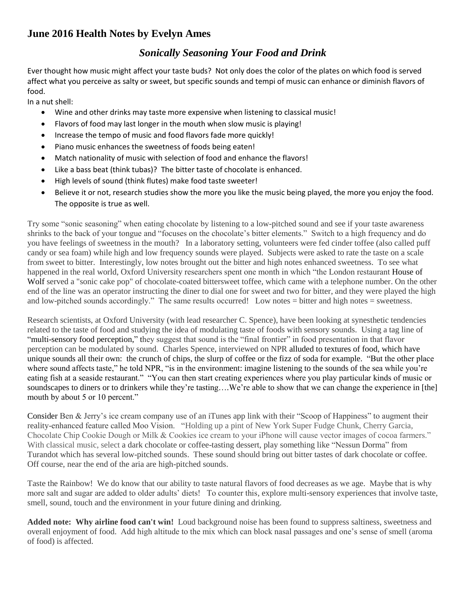## **June 2016 Health Notes by Evelyn Ames**

## *Sonically Seasoning Your Food and Drink*

Ever thought how music might affect your taste buds? Not only does the color of the plates on which food is served affect what you perceive as salty or sweet, but specific sounds and tempi of music can enhance or diminish flavors of food.

In a nut shell:

- Wine and other drinks may taste more expensive when listening to classical music!
- Flavors of food may last longer in the mouth when slow music is playing!
- Increase the tempo of music and food flavors fade more quickly!
- Piano music enhances the sweetness of foods being eaten!
- Match nationality of music with selection of food and enhance the flavors!
- Like a bass beat (think tubas)? The bitter taste of chocolate is enhanced.
- High levels of sound (think flutes) make food taste sweeter!
- Believe it or not, research studies show the more you like the music being played, the more you enjoy the food. The opposite is true as well.

Try some "sonic seasoning" when eating chocolate by listening to a low-pitched sound and see if your taste awareness shrinks to the back of your tongue and "focuses on the chocolate's bitter elements." Switch to a high frequency and do you have feelings of sweetness in the mouth? In a laboratory setting, volunteers were fed cinder toffee (also called puff candy or sea foam) while high and low frequency sounds were played. Subjects were asked to rate the taste on a scale from sweet to bitter. Interestingly, low notes brought out the bitter and high notes enhanced sweetness. To see what happened in the real world, Oxford University researchers spent one month in which "the London restaurant [House of](http://houseofwolf.co.uk/)  [Wolf](http://houseofwolf.co.uk/) served a "sonic cake pop" of chocolate-coated bittersweet toffee, which came with a telephone number. On the other end of the line was an operator instructing the diner to dial one for sweet and two for bitter, and they were played the high and low-pitched sounds accordingly." The same results occurred! Low notes = bitter and high notes = sweetness.

Research scientists, at Oxford University (with lead researcher C. Spence), have been looking at synesthetic tendencies related to the taste of food and studying the idea of modulating taste of foods with sensory sounds. Using a tag line of "multi-sensory food perception," they suggest that sound is the "final frontier" in food presentation in that flavor perception can be modulated by sound. Charles Spence, interviewed on NPR alluded to textures of food, which have unique sounds all their own: the crunch of chips, the slurp of coffee or the fizz of soda for example. "But the other place where sound affects taste," he told NPR, "is in the environment: imagine listening to the sounds of the sea while you're eating fish at a seaside restaurant." "You can then start creating experiences where you play particular kinds of music or soundscapes to diners or to drinkers while they're tasting….We're able to show that we can change the experience in [the] mouth by about 5 or 10 percent."

Consider Ben & Jerry's ice cream company use of an iTunes app link with their "Scoop of Happiness" to augment their reality-enhanced feature called Moo Vision. "Holding up a pint of New York Super Fudge Chunk, Cherry Garcia, Chocolate Chip Cookie Dough or Milk & Cookies ice cream to your iPhone will cause vector images of cocoa farmers." With classical music, select a dark chocolate or coffee-tasting dessert, play something like "Nessun Dorma" from Turandot which has several low-pitched sounds. These sound should bring out bitter tastes of dark chocolate or coffee. Off course, near the end of the aria are high-pitched sounds.

Taste the Rainbow! We do know that our ability to taste natural flavors of food decreases as we age. Maybe that is why more salt and sugar are added to older adults' diets! To counter this, explore multi-sensory experiences that involve taste, smell, sound, touch and the environment in your future dining and drinking.

**Added note: Why airline food can't win!** Loud background noise has been found to suppress saltiness, sweetness and overall enjoyment of food. Add high altitude to the mix which can block nasal passages and one's sense of smell (aroma of food) is affected.